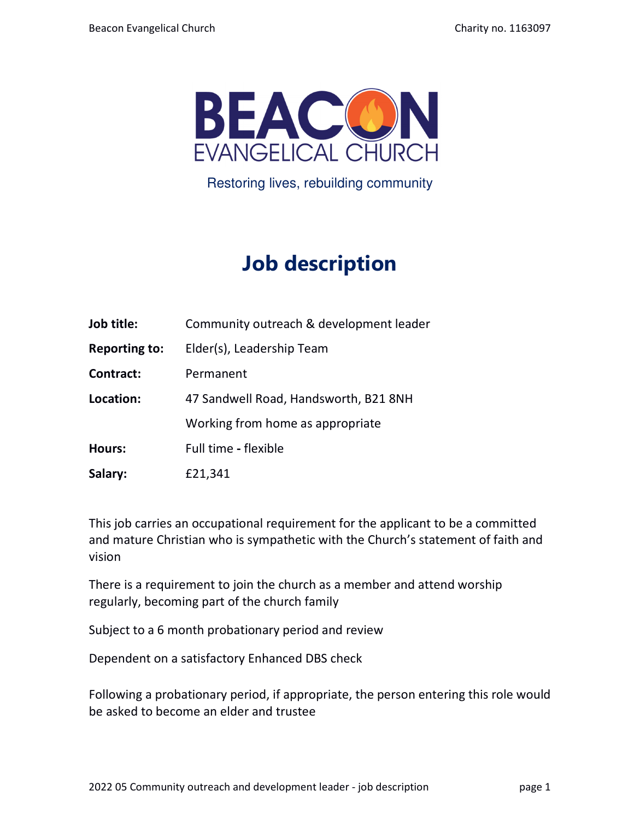

Restoring lives, rebuilding community

# **Job description**

| Job title: | Community outreach & development leader |
|------------|-----------------------------------------|
|------------|-----------------------------------------|

**Reporting to:** Elder(s), Leadership Team

**Contract:** Permanent

**Location:** 47 Sandwell Road, Handsworth, B21 8NH

Working from home as appropriate

- **Hours:** Full timeflexible
- **Salary:** £21,341

This job carries an occupational requirement for the applicant to be a committed and mature Christian who is sympathetic with the Church's statement of faith and vision

There is a requirement to join the church as a member and attend worship regularly, becoming part of the church family

Subject to a 6 month probationary period and review

Dependent on a satisfactory Enhanced DBS check

Following a probationary period, if appropriate, the person entering this role would be asked to become an elder and trustee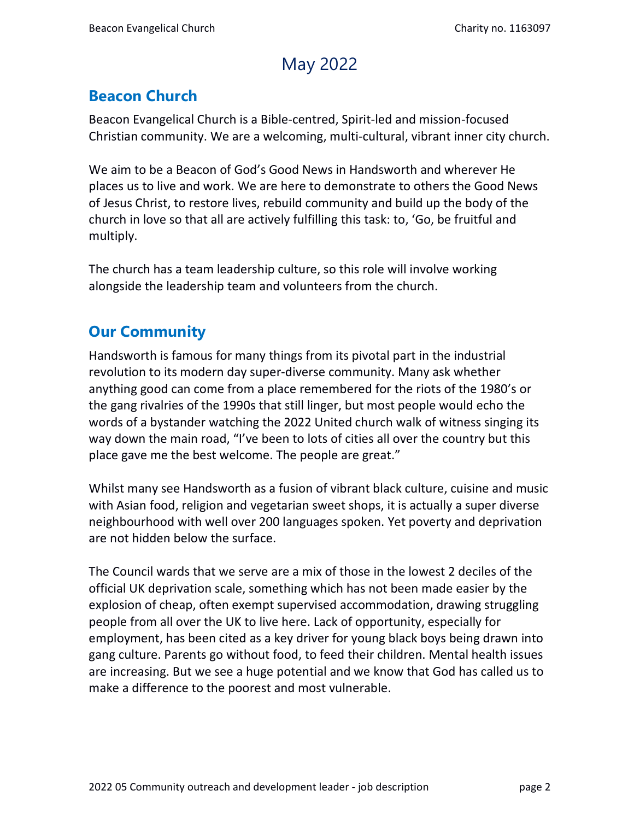### May 2022

#### **Beacon Church**

Beacon Evangelical Church is a Bible-centred, Spirit-led and mission-focused Christian community. We are a welcoming, multi-cultural, vibrant inner city church.

We aim to be a Beacon of God's Good News in Handsworth and wherever He places us to live and work. We are here to demonstrate to others the Good News of Jesus Christ, to restore lives, rebuild community and build up the body of the church in love so that all are actively fulfilling this task: to, 'Go, be fruitful and multiply.

The church has a team leadership culture, so this role will involve working alongside the leadership team and volunteers from the church.

#### **Our Community**

Handsworth is famous for many things from its pivotal part in the industrial revolution to its modern day super-diverse community. Many ask whether anything good can come from a place remembered for the riots of the 1980's or the gang rivalries of the 1990s that still linger, but most people would echo the words of a bystander watching the 2022 United church walk of witness singing its way down the main road, "I've been to lots of cities all over the country but this place gave me the best welcome. The people are great."

Whilst many see Handsworth as a fusion of vibrant black culture, cuisine and music with Asian food, religion and vegetarian sweet shops, it is actually a super diverse neighbourhood with well over 200 languages spoken. Yet poverty and deprivation are not hidden below the surface.

The Council wards that we serve are a mix of those in the lowest 2 deciles of the official UK deprivation scale, something which has not been made easier by the explosion of cheap, often exempt supervised accommodation, drawing struggling people from all over the UK to live here. Lack of opportunity, especially for employment, has been cited as a key driver for young black boys being drawn into gang culture. Parents go without food, to feed their children. Mental health issues are increasing. But we see a huge potential and we know that God has called us to make a difference to the poorest and most vulnerable.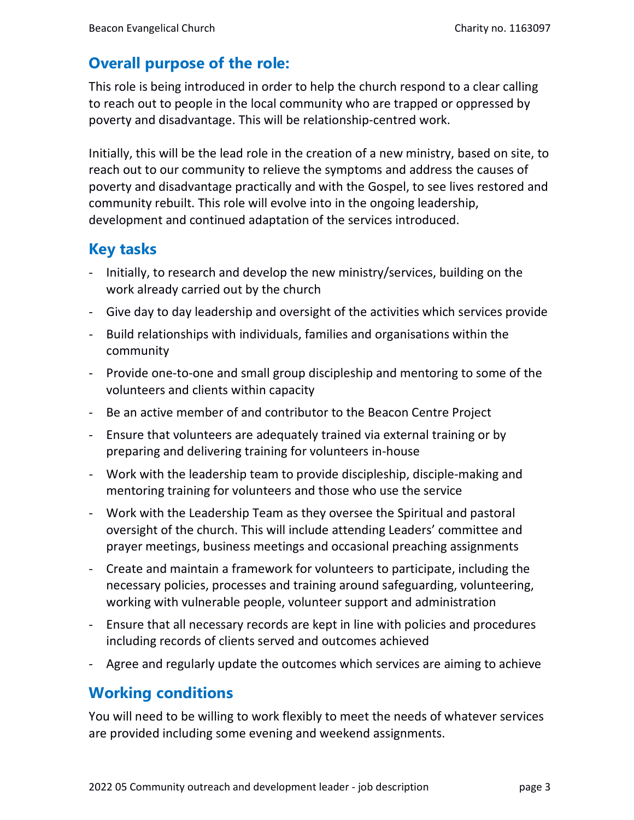#### **Overall purpose of the role:**

This role is being introduced in order to help the church respond to a clear calling to reach out to people in the local community who are trapped or oppressed by poverty and disadvantage. This will be relationship-centred work.

Initially, this will be the lead role in the creation of a new ministry, based on site, to reach out to our community to relieve the symptoms and address the causes of poverty and disadvantage practically and with the Gospel, to see lives restored and community rebuilt. This role will evolve into in the ongoing leadership, development and continued adaptation of the services introduced.

#### **Key tasks**

- Initially, to research and develop the new ministry/services, building on the work already carried out by the church
- Give day to day leadership and oversight of the activities which services provide
- Build relationships with individuals, families and organisations within the community
- Provide one-to-one and small group discipleship and mentoring to some of the volunteers and clients within capacity
- Be an active member of and contributor to the Beacon Centre Project
- Ensure that volunteers are adequately trained via external training or by preparing and delivering training for volunteers in-house
- Work with the leadership team to provide discipleship, disciple-making and mentoring training for volunteers and those who use the service
- Work with the Leadership Team as they oversee the Spiritual and pastoral oversight of the church. This will include attending Leaders' committee and prayer meetings, business meetings and occasional preaching assignments
- Create and maintain a framework for volunteers to participate, including the necessary policies, processes and training around safeguarding, volunteering, working with vulnerable people, volunteer support and administration
- Ensure that all necessary records are kept in line with policies and procedures including records of clients served and outcomes achieved
- Agree and regularly update the outcomes which services are aiming to achieve

#### **Working conditions**

You will need to be willing to work flexibly to meet the needs of whatever services are provided including some evening and weekend assignments.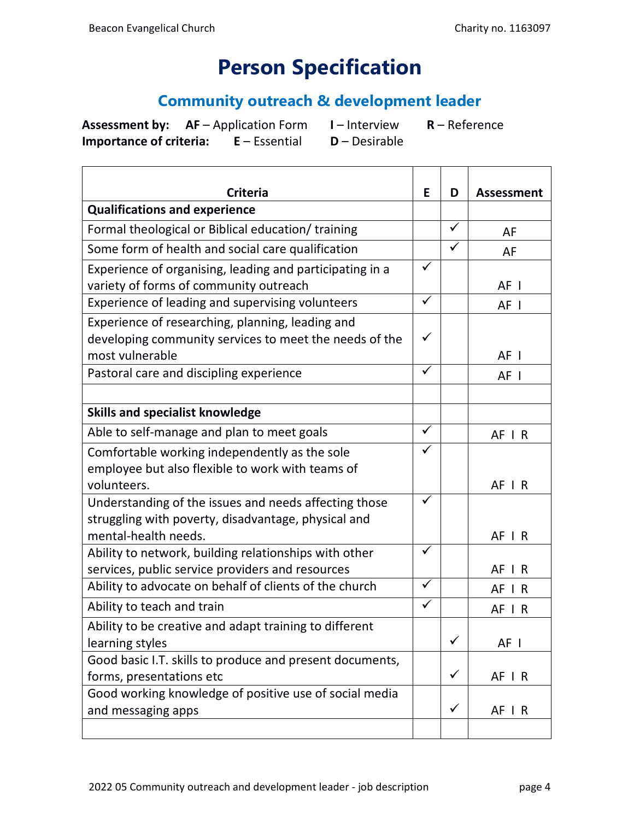## **Person Specification**

#### **Community outreach & development leader**

**Assessment by: AF** – Application Form **I** – Interview **R** – Reference **Importance of criteria: E** – Essential **D** – Desirable

 $\overline{\phantom{a}}$ 

 $\mathcal{L}$ 

| <b>Criteria</b>                                          |              | D            | <b>Assessment</b> |
|----------------------------------------------------------|--------------|--------------|-------------------|
| <b>Qualifications and experience</b>                     |              |              |                   |
| Formal theological or Biblical education/ training       |              | ✓            | AF                |
| Some form of health and social care qualification        |              |              | AF                |
| Experience of organising, leading and participating in a |              |              |                   |
| variety of forms of community outreach                   |              |              | AF I              |
| Experience of leading and supervising volunteers         | $\checkmark$ |              | AF I              |
| Experience of researching, planning, leading and         |              |              |                   |
| developing community services to meet the needs of the   |              |              |                   |
| most vulnerable                                          |              |              | AF I              |
| Pastoral care and discipling experience                  | $\checkmark$ |              | AF I              |
|                                                          |              |              |                   |
| <b>Skills and specialist knowledge</b>                   |              |              |                   |
| Able to self-manage and plan to meet goals               | $\checkmark$ |              | AF IR             |
| Comfortable working independently as the sole            | $\checkmark$ |              |                   |
| employee but also flexible to work with teams of         |              |              |                   |
| volunteers.                                              |              |              | AF IR             |
| Understanding of the issues and needs affecting those    |              |              |                   |
| struggling with poverty, disadvantage, physical and      |              |              |                   |
| mental-health needs.                                     |              |              | AF IR             |
| Ability to network, building relationships with other    |              |              |                   |
| services, public service providers and resources         |              |              | AF IR             |
| Ability to advocate on behalf of clients of the church   |              |              | $AF$ $R$          |
| Ability to teach and train                               |              |              | AF IR             |
| Ability to be creative and adapt training to different   |              |              |                   |
| learning styles                                          |              | ✓            | AF I              |
| Good basic I.T. skills to produce and present documents, |              |              |                   |
| forms, presentations etc                                 |              | $\checkmark$ | AF   R            |
| Good working knowledge of positive use of social media   |              |              |                   |
| and messaging apps                                       |              | $\checkmark$ | AF I R            |
|                                                          |              |              |                   |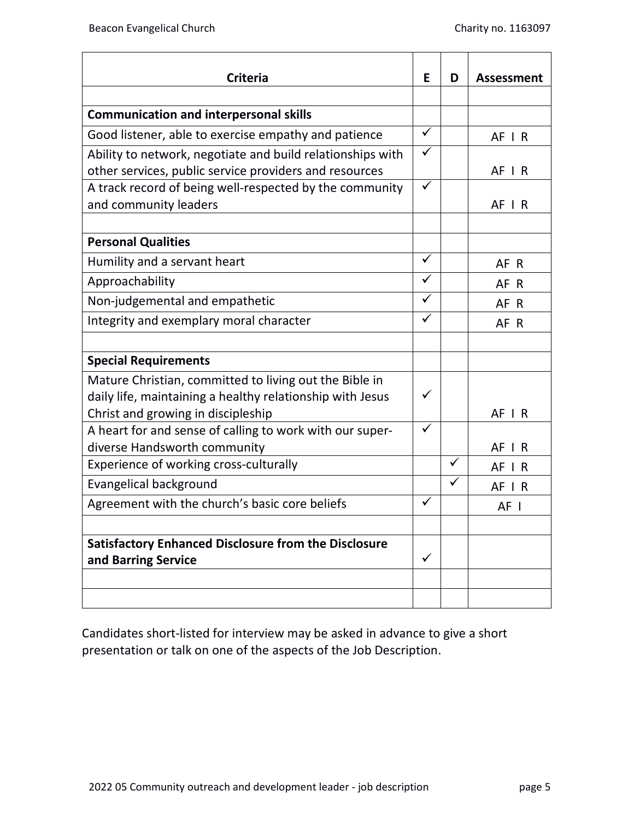$\overline{\phantom{a}}$ 

| <b>Criteria</b>                                             | E            | D            | <b>Assessment</b> |
|-------------------------------------------------------------|--------------|--------------|-------------------|
|                                                             |              |              |                   |
| <b>Communication and interpersonal skills</b>               |              |              |                   |
| Good listener, able to exercise empathy and patience        |              |              | $AF$   R          |
| Ability to network, negotiate and build relationships with  |              |              |                   |
| other services, public service providers and resources      |              |              | AF IR             |
| A track record of being well-respected by the community     |              |              |                   |
| and community leaders                                       |              |              | AF IR             |
|                                                             |              |              |                   |
| <b>Personal Qualities</b>                                   |              |              |                   |
| Humility and a servant heart                                | $\checkmark$ |              | AF R              |
| Approachability                                             | ✓            |              | AF R              |
| Non-judgemental and empathetic                              | ✓            |              | AF R              |
| Integrity and exemplary moral character                     |              |              | AF R              |
|                                                             |              |              |                   |
| <b>Special Requirements</b>                                 |              |              |                   |
| Mature Christian, committed to living out the Bible in      |              |              |                   |
| daily life, maintaining a healthy relationship with Jesus   | $\checkmark$ |              |                   |
| Christ and growing in discipleship                          |              |              | AF IR             |
| A heart for and sense of calling to work with our super-    | $\checkmark$ |              |                   |
| diverse Handsworth community                                |              |              | AF I R            |
| Experience of working cross-culturally                      |              | $\checkmark$ | $AF$ $R$          |
| Evangelical background                                      |              | $\checkmark$ | $AF$ $R$          |
| Agreement with the church's basic core beliefs              | ✓            |              | AF I              |
|                                                             |              |              |                   |
| <b>Satisfactory Enhanced Disclosure from the Disclosure</b> |              |              |                   |
| and Barring Service                                         |              |              |                   |
|                                                             |              |              |                   |
|                                                             |              |              |                   |

Candidates short-listed for interview may be asked in advance to give a short presentation or talk on one of the aspects of the Job Description.